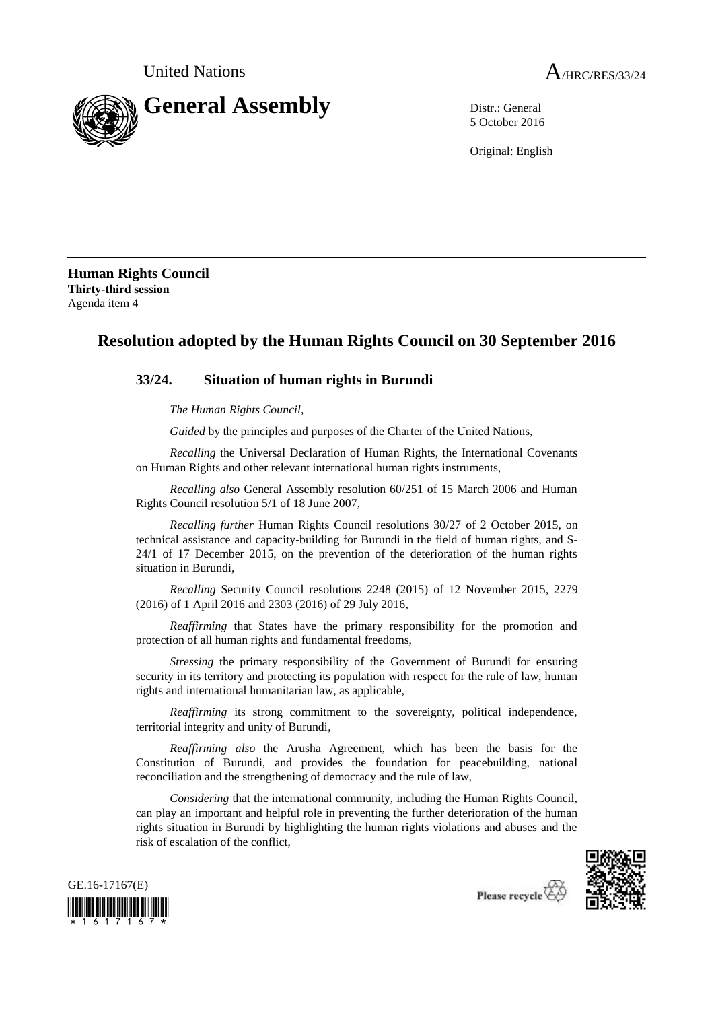

5 October 2016

Original: English

**Human Rights Council Thirty-third session** Agenda item 4

# **Resolution adopted by the Human Rights Council on 30 September 2016**

## **33/24. Situation of human rights in Burundi**

*The Human Rights Council*,

*Guided* by the principles and purposes of the Charter of the United Nations,

*Recalling* the Universal Declaration of Human Rights, the International Covenants on Human Rights and other relevant international human rights instruments,

*Recalling also* General Assembly resolution 60/251 of 15 March 2006 and Human Rights Council resolution 5/1 of 18 June 2007,

*Recalling further* Human Rights Council resolutions 30/27 of 2 October 2015, on technical assistance and capacity-building for Burundi in the field of human rights, and S-24/1 of 17 December 2015, on the prevention of the deterioration of the human rights situation in Burundi,

*Recalling* Security Council resolutions 2248 (2015) of 12 November 2015, 2279 (2016) of 1 April 2016 and 2303 (2016) of 29 July 2016,

*Reaffirming* that States have the primary responsibility for the promotion and protection of all human rights and fundamental freedoms,

*Stressing* the primary responsibility of the Government of Burundi for ensuring security in its territory and protecting its population with respect for the rule of law, human rights and international humanitarian law, as applicable,

*Reaffirming* its strong commitment to the sovereignty, political independence, territorial integrity and unity of Burundi,

*Reaffirming also* the Arusha Agreement, which has been the basis for the Constitution of Burundi, and provides the foundation for peacebuilding, national reconciliation and the strengthening of democracy and the rule of law,

*Considering* that the international community, including the Human Rights Council, can play an important and helpful role in preventing the further deterioration of the human rights situation in Burundi by highlighting the human rights violations and abuses and the risk of escalation of the conflict,





Please recycle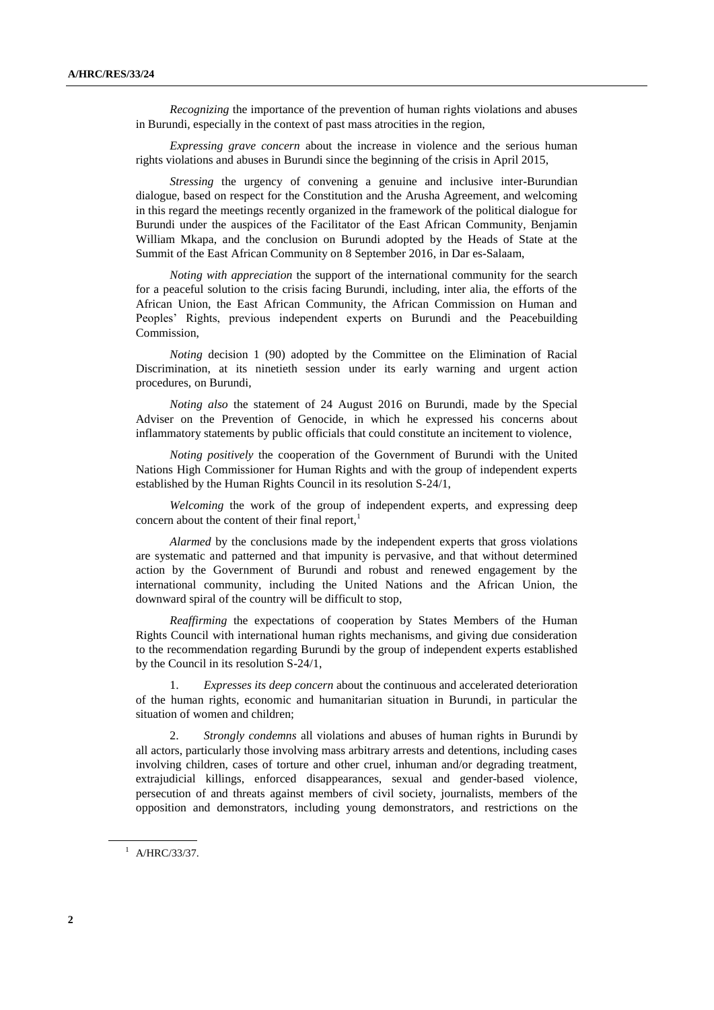*Recognizing* the importance of the prevention of human rights violations and abuses in Burundi, especially in the context of past mass atrocities in the region,

*Expressing grave concern* about the increase in violence and the serious human rights violations and abuses in Burundi since the beginning of the crisis in April 2015,

*Stressing* the urgency of convening a genuine and inclusive inter-Burundian dialogue, based on respect for the Constitution and the Arusha Agreement, and welcoming in this regard the meetings recently organized in the framework of the political dialogue for Burundi under the auspices of the Facilitator of the East African Community, Benjamin William Mkapa, and the conclusion on Burundi adopted by the Heads of State at the Summit of the East African Community on 8 September 2016, in Dar es-Salaam,

*Noting with appreciation* the support of the international community for the search for a peaceful solution to the crisis facing Burundi, including, inter alia, the efforts of the African Union, the East African Community, the African Commission on Human and Peoples' Rights, previous independent experts on Burundi and the Peacebuilding Commission,

*Noting* decision 1 (90) adopted by the Committee on the Elimination of Racial Discrimination, at its ninetieth session under its early warning and urgent action procedures, on Burundi,

*Noting also* the statement of 24 August 2016 on Burundi, made by the Special Adviser on the Prevention of Genocide, in which he expressed his concerns about inflammatory statements by public officials that could constitute an incitement to violence,

*Noting positively* the cooperation of the Government of Burundi with the United Nations High Commissioner for Human Rights and with the group of independent experts established by the Human Rights Council in its resolution S-24/1,

*Welcoming* the work of the group of independent experts, and expressing deep concern about the content of their final report, $<sup>1</sup>$ </sup>

*Alarmed* by the conclusions made by the independent experts that gross violations are systematic and patterned and that impunity is pervasive, and that without determined action by the Government of Burundi and robust and renewed engagement by the international community, including the United Nations and the African Union, the downward spiral of the country will be difficult to stop,

*Reaffirming* the expectations of cooperation by States Members of the Human Rights Council with international human rights mechanisms, and giving due consideration to the recommendation regarding Burundi by the group of independent experts established by the Council in its resolution S-24/1,

1. *Expresses its deep concern* about the continuous and accelerated deterioration of the human rights, economic and humanitarian situation in Burundi, in particular the situation of women and children;

2. *Strongly condemns* all violations and abuses of human rights in Burundi by all actors, particularly those involving mass arbitrary arrests and detentions, including cases involving children, cases of torture and other cruel, inhuman and/or degrading treatment, extrajudicial killings, enforced disappearances, sexual and gender-based violence, persecution of and threats against members of civil society, journalists, members of the opposition and demonstrators, including young demonstrators, and restrictions on the

 $^{1}$  A/HRC/33/37.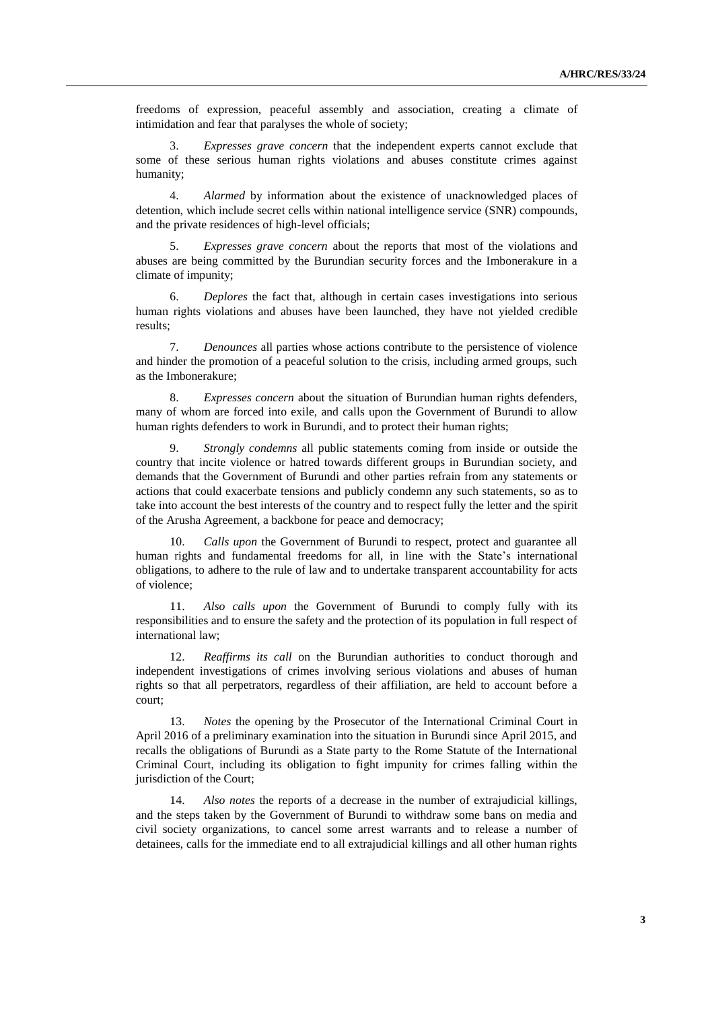freedoms of expression, peaceful assembly and association, creating a climate of intimidation and fear that paralyses the whole of society;

3. *Expresses grave concern* that the independent experts cannot exclude that some of these serious human rights violations and abuses constitute crimes against humanity;

4. *Alarmed* by information about the existence of unacknowledged places of detention, which include secret cells within national intelligence service (SNR) compounds, and the private residences of high-level officials;

5. *Expresses grave concern* about the reports that most of the violations and abuses are being committed by the Burundian security forces and the Imbonerakure in a climate of impunity;

6. *Deplores* the fact that, although in certain cases investigations into serious human rights violations and abuses have been launched, they have not yielded credible results;

7. *Denounces* all parties whose actions contribute to the persistence of violence and hinder the promotion of a peaceful solution to the crisis, including armed groups, such as the Imbonerakure;

8. *Expresses concern* about the situation of Burundian human rights defenders, many of whom are forced into exile, and calls upon the Government of Burundi to allow human rights defenders to work in Burundi, and to protect their human rights;

9. *Strongly condemns* all public statements coming from inside or outside the country that incite violence or hatred towards different groups in Burundian society, and demands that the Government of Burundi and other parties refrain from any statements or actions that could exacerbate tensions and publicly condemn any such statements, so as to take into account the best interests of the country and to respect fully the letter and the spirit of the Arusha Agreement, a backbone for peace and democracy;

10. *Calls upon* the Government of Burundi to respect, protect and guarantee all human rights and fundamental freedoms for all, in line with the State's international obligations, to adhere to the rule of law and to undertake transparent accountability for acts of violence;

11. *Also calls upon* the Government of Burundi to comply fully with its responsibilities and to ensure the safety and the protection of its population in full respect of international law;

12. *Reaffirms its call* on the Burundian authorities to conduct thorough and independent investigations of crimes involving serious violations and abuses of human rights so that all perpetrators, regardless of their affiliation, are held to account before a court;

13. *Notes* the opening by the Prosecutor of the International Criminal Court in April 2016 of a preliminary examination into the situation in Burundi since April 2015, and recalls the obligations of Burundi as a State party to the Rome Statute of the International Criminal Court, including its obligation to fight impunity for crimes falling within the jurisdiction of the Court;

14. *Also notes* the reports of a decrease in the number of extrajudicial killings, and the steps taken by the Government of Burundi to withdraw some bans on media and civil society organizations, to cancel some arrest warrants and to release a number of detainees, calls for the immediate end to all extrajudicial killings and all other human rights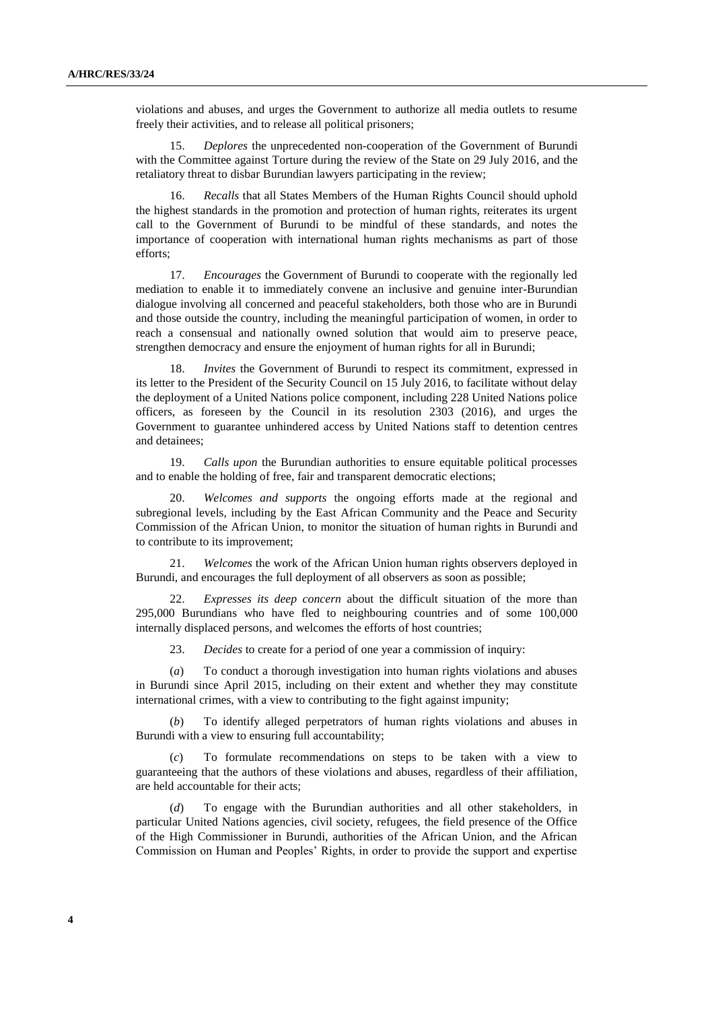violations and abuses, and urges the Government to authorize all media outlets to resume freely their activities, and to release all political prisoners;

15. *Deplores* the unprecedented non-cooperation of the Government of Burundi with the Committee against Torture during the review of the State on 29 July 2016, and the retaliatory threat to disbar Burundian lawyers participating in the review;

16. *Recalls* that all States Members of the Human Rights Council should uphold the highest standards in the promotion and protection of human rights, reiterates its urgent call to the Government of Burundi to be mindful of these standards, and notes the importance of cooperation with international human rights mechanisms as part of those efforts;

17. *Encourages* the Government of Burundi to cooperate with the regionally led mediation to enable it to immediately convene an inclusive and genuine inter-Burundian dialogue involving all concerned and peaceful stakeholders, both those who are in Burundi and those outside the country, including the meaningful participation of women, in order to reach a consensual and nationally owned solution that would aim to preserve peace, strengthen democracy and ensure the enjoyment of human rights for all in Burundi;

18. *Invites* the Government of Burundi to respect its commitment, expressed in its letter to the President of the Security Council on 15 July 2016, to facilitate without delay the deployment of a United Nations police component, including 228 United Nations police officers, as foreseen by the Council in its resolution 2303 (2016), and urges the Government to guarantee unhindered access by United Nations staff to detention centres and detainees;

19. *Calls upon* the Burundian authorities to ensure equitable political processes and to enable the holding of free, fair and transparent democratic elections;

20. *Welcomes and supports* the ongoing efforts made at the regional and subregional levels, including by the East African Community and the Peace and Security Commission of the African Union, to monitor the situation of human rights in Burundi and to contribute to its improvement;

21. *Welcomes* the work of the African Union human rights observers deployed in Burundi, and encourages the full deployment of all observers as soon as possible;

22. *Expresses its deep concern* about the difficult situation of the more than 295,000 Burundians who have fled to neighbouring countries and of some 100,000 internally displaced persons, and welcomes the efforts of host countries;

23. *Decides* to create for a period of one year a commission of inquiry:

(*a*) To conduct a thorough investigation into human rights violations and abuses in Burundi since April 2015, including on their extent and whether they may constitute international crimes, with a view to contributing to the fight against impunity;

(*b*) To identify alleged perpetrators of human rights violations and abuses in Burundi with a view to ensuring full accountability;

(*c*) To formulate recommendations on steps to be taken with a view to guaranteeing that the authors of these violations and abuses, regardless of their affiliation, are held accountable for their acts;

(*d*) To engage with the Burundian authorities and all other stakeholders, in particular United Nations agencies, civil society, refugees, the field presence of the Office of the High Commissioner in Burundi, authorities of the African Union, and the African Commission on Human and Peoples' Rights, in order to provide the support and expertise